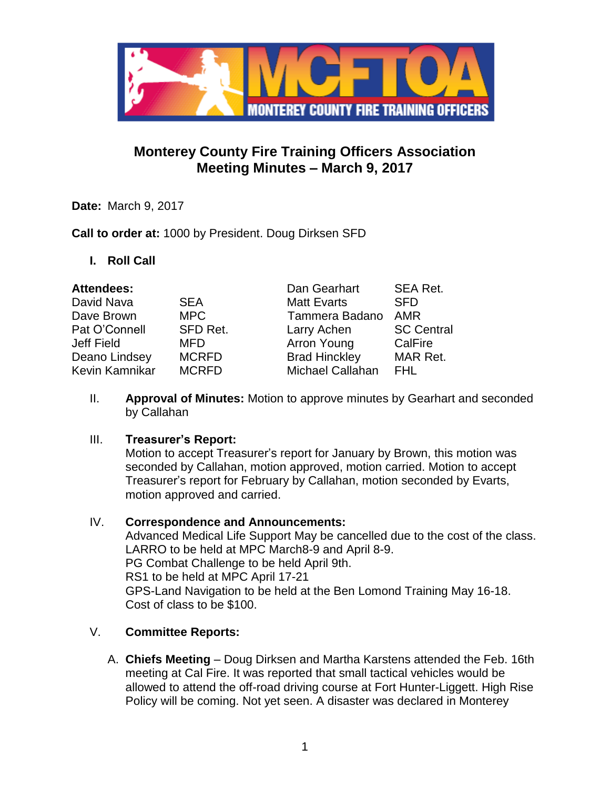

# **Monterey County Fire Training Officers Association Meeting Minutes – March 9, 2017**

**Date:** March 9, 2017

**Call to order at:** 1000 by President. Doug Dirksen SFD

**I. Roll Call**

| <b>Attendees:</b> |              | Dan Gearhart            | SEA Ret.          |
|-------------------|--------------|-------------------------|-------------------|
| David Nava        | <b>SEA</b>   | <b>Matt Evarts</b>      | <b>SFD</b>        |
| Dave Brown        | <b>MPC</b>   | Tammera Badano          | <b>AMR</b>        |
| Pat O'Connell     | SFD Ret.     | Larry Achen             | <b>SC Central</b> |
| Jeff Field        | <b>MFD</b>   | Arron Young             | CalFire           |
| Deano Lindsey     | <b>MCRFD</b> | <b>Brad Hinckley</b>    | MAR Ret.          |
| Kevin Kamnikar    | <b>MCRFD</b> | <b>Michael Callahan</b> | FHL               |

II. **Approval of Minutes:** Motion to approve minutes by Gearhart and seconded by Callahan

## III. **Treasurer's Report:**

Motion to accept Treasurer's report for January by Brown, this motion was seconded by Callahan, motion approved, motion carried. Motion to accept Treasurer's report for February by Callahan, motion seconded by Evarts, motion approved and carried.

IV. **Correspondence and Announcements:** Advanced Medical Life Support May be cancelled due to the cost of the class. LARRO to be held at MPC March8-9 and April 8-9. PG Combat Challenge to be held April 9th. RS1 to be held at MPC April 17-21 GPS-Land Navigation to be held at the Ben Lomond Training May 16-18. Cost of class to be \$100.

## V. **Committee Reports:**

A. **Chiefs Meeting** – Doug Dirksen and Martha Karstens attended the Feb. 16th meeting at Cal Fire. It was reported that small tactical vehicles would be allowed to attend the off-road driving course at Fort Hunter-Liggett. High Rise Policy will be coming. Not yet seen. A disaster was declared in Monterey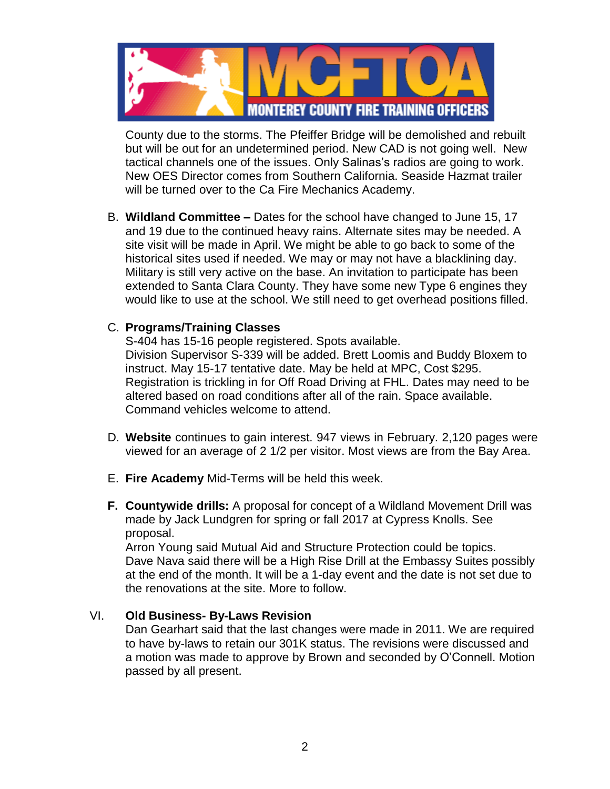

County due to the storms. The Pfeiffer Bridge will be demolished and rebuilt but will be out for an undetermined period. New CAD is not going well. New tactical channels one of the issues. Only Salinas's radios are going to work. New OES Director comes from Southern California. Seaside Hazmat trailer will be turned over to the Ca Fire Mechanics Academy.

B. **Wildland Committee –** Dates for the school have changed to June 15, 17 and 19 due to the continued heavy rains. Alternate sites may be needed. A site visit will be made in April. We might be able to go back to some of the historical sites used if needed. We may or may not have a blacklining day. Military is still very active on the base. An invitation to participate has been extended to Santa Clara County. They have some new Type 6 engines they would like to use at the school. We still need to get overhead positions filled.

### C. **Programs/Training Classes**

S-404 has 15-16 people registered. Spots available. Division Supervisor S-339 will be added. Brett Loomis and Buddy Bloxem to instruct. May 15-17 tentative date. May be held at MPC, Cost \$295. Registration is trickling in for Off Road Driving at FHL. Dates may need to be altered based on road conditions after all of the rain. Space available. Command vehicles welcome to attend.

- D. **Website** continues to gain interest. 947 views in February. 2,120 pages were viewed for an average of 2 1/2 per visitor. Most views are from the Bay Area.
- E. **Fire Academy** Mid-Terms will be held this week.
- **F. Countywide drills:** A proposal for concept of a Wildland Movement Drill was made by Jack Lundgren for spring or fall 2017 at Cypress Knolls. See proposal.

Arron Young said Mutual Aid and Structure Protection could be topics. Dave Nava said there will be a High Rise Drill at the Embassy Suites possibly at the end of the month. It will be a 1-day event and the date is not set due to the renovations at the site. More to follow.

### VI. **Old Business- By-Laws Revision**

Dan Gearhart said that the last changes were made in 2011. We are required to have by-laws to retain our 301K status. The revisions were discussed and a motion was made to approve by Brown and seconded by O'Connell. Motion passed by all present.